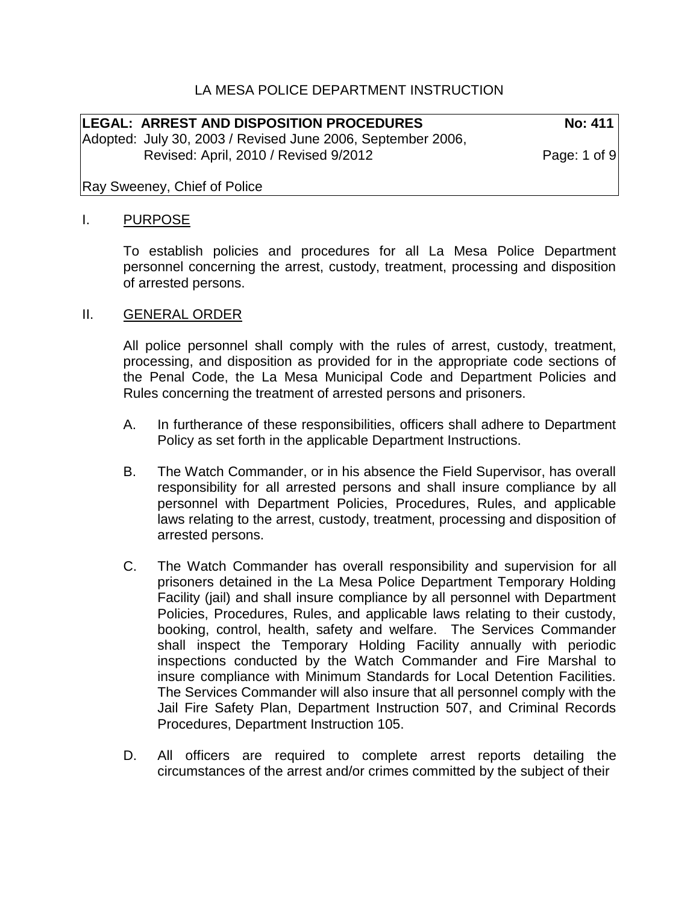## LA MESA POLICE DEPARTMENT INSTRUCTION

LEGAL: ARREST AND DISPOSITION PROCEDURES No: 411 Adopted: July 30, 2003 / Revised June 2006, September 2006, Revised: April, 2010 / Revised 9/2012 Page: 1 of 9

Ray Sweeney, Chief of Police

#### I. PURPOSE

To establish policies and procedures for all La Mesa Police Department personnel concerning the arrest, custody, treatment, processing and disposition of arrested persons.

#### II. GENERAL ORDER

All police personnel shall comply with the rules of arrest, custody, treatment, processing, and disposition as provided for in the appropriate code sections of the Penal Code, the La Mesa Municipal Code and Department Policies and Rules concerning the treatment of arrested persons and prisoners.

- A. In furtherance of these responsibilities, officers shall adhere to Department Policy as set forth in the applicable Department Instructions.
- B. The Watch Commander, or in his absence the Field Supervisor, has overall responsibility for all arrested persons and shall insure compliance by all personnel with Department Policies, Procedures, Rules, and applicable laws relating to the arrest, custody, treatment, processing and disposition of arrested persons.
- C. The Watch Commander has overall responsibility and supervision for all prisoners detained in the La Mesa Police Department Temporary Holding Facility (jail) and shall insure compliance by all personnel with Department Policies, Procedures, Rules, and applicable laws relating to their custody, booking, control, health, safety and welfare. The Services Commander shall inspect the Temporary Holding Facility annually with periodic inspections conducted by the Watch Commander and Fire Marshal to insure compliance with Minimum Standards for Local Detention Facilities. The Services Commander will also insure that all personnel comply with the Jail Fire Safety Plan, Department Instruction 507, and Criminal Records Procedures, Department Instruction 105.
- D. All officers are required to complete arrest reports detailing the circumstances of the arrest and/or crimes committed by the subject of their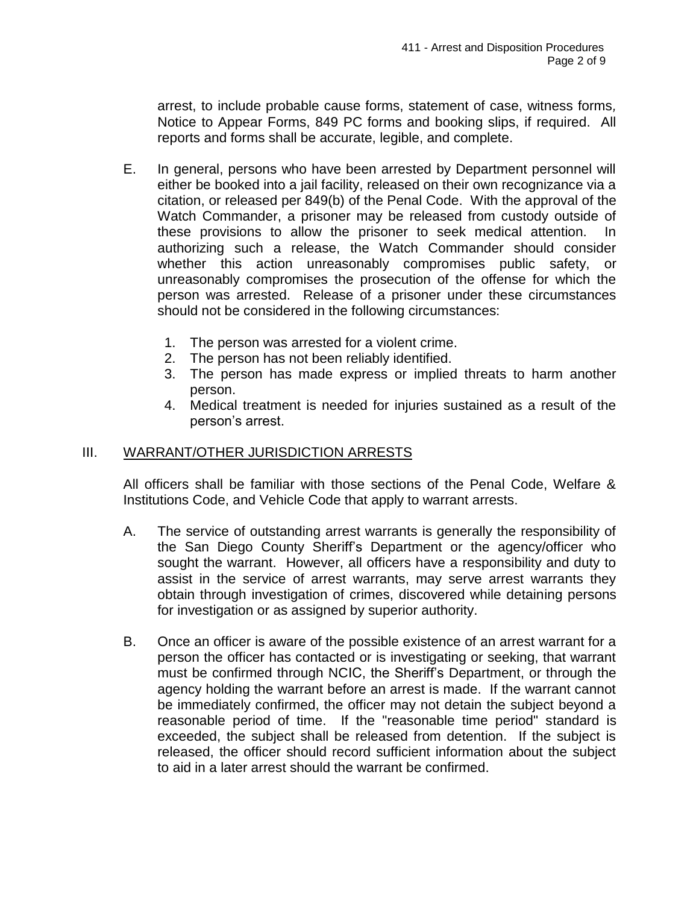arrest, to include probable cause forms, statement of case, witness forms*,*  Notice to Appear Forms, 849 PC forms and booking slips, if required. All reports and forms shall be accurate, legible, and complete.

- E. In general, persons who have been arrested by Department personnel will either be booked into a jail facility, released on their own recognizance via a citation, or released per 849(b) of the Penal Code. With the approval of the Watch Commander, a prisoner may be released from custody outside of these provisions to allow the prisoner to seek medical attention. In authorizing such a release, the Watch Commander should consider whether this action unreasonably compromises public safety, or unreasonably compromises the prosecution of the offense for which the person was arrested. Release of a prisoner under these circumstances should not be considered in the following circumstances:
	- 1. The person was arrested for a violent crime.
	- 2. The person has not been reliably identified.
	- 3. The person has made express or implied threats to harm another person.
	- 4. Medical treatment is needed for injuries sustained as a result of the person's arrest.

### III. WARRANT/OTHER JURISDICTION ARRESTS

All officers shall be familiar with those sections of the Penal Code, Welfare & Institutions Code, and Vehicle Code that apply to warrant arrests.

- A. The service of outstanding arrest warrants is generally the responsibility of the San Diego County Sheriff's Department or the agency/officer who sought the warrant. However, all officers have a responsibility and duty to assist in the service of arrest warrants, may serve arrest warrants they obtain through investigation of crimes, discovered while detaining persons for investigation or as assigned by superior authority.
- B. Once an officer is aware of the possible existence of an arrest warrant for a person the officer has contacted or is investigating or seeking, that warrant must be confirmed through NCIC, the Sheriff's Department, or through the agency holding the warrant before an arrest is made. If the warrant cannot be immediately confirmed, the officer may not detain the subject beyond a reasonable period of time. If the "reasonable time period" standard is exceeded, the subject shall be released from detention. If the subject is released, the officer should record sufficient information about the subject to aid in a later arrest should the warrant be confirmed.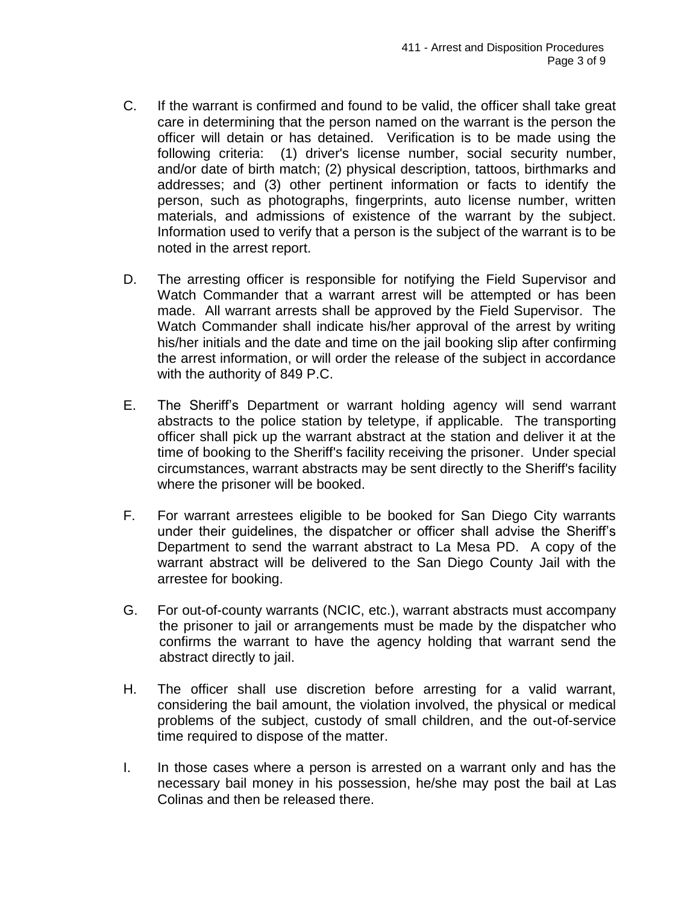- C. If the warrant is confirmed and found to be valid, the officer shall take great care in determining that the person named on the warrant is the person the officer will detain or has detained. Verification is to be made using the following criteria: (1) driver's license number, social security number, and/or date of birth match; (2) physical description, tattoos, birthmarks and addresses; and (3) other pertinent information or facts to identify the person, such as photographs, fingerprints, auto license number, written materials, and admissions of existence of the warrant by the subject. Information used to verify that a person is the subject of the warrant is to be noted in the arrest report.
- D. The arresting officer is responsible for notifying the Field Supervisor and Watch Commander that a warrant arrest will be attempted or has been made. All warrant arrests shall be approved by the Field Supervisor. The Watch Commander shall indicate his/her approval of the arrest by writing his/her initials and the date and time on the jail booking slip after confirming the arrest information, or will order the release of the subject in accordance with the authority of 849 P.C.
- E. The Sheriff's Department or warrant holding agency will send warrant abstracts to the police station by teletype, if applicable. The transporting officer shall pick up the warrant abstract at the station and deliver it at the time of booking to the Sheriff's facility receiving the prisoner. Under special circumstances, warrant abstracts may be sent directly to the Sheriff's facility where the prisoner will be booked.
- F. For warrant arrestees eligible to be booked for San Diego City warrants under their guidelines, the dispatcher or officer shall advise the Sheriff's Department to send the warrant abstract to La Mesa PD. A copy of the warrant abstract will be delivered to the San Diego County Jail with the arrestee for booking.
- G. For out-of-county warrants (NCIC, etc.), warrant abstracts must accompany the prisoner to jail or arrangements must be made by the dispatcher who confirms the warrant to have the agency holding that warrant send the abstract directly to jail.
- H. The officer shall use discretion before arresting for a valid warrant, considering the bail amount, the violation involved, the physical or medical problems of the subject, custody of small children, and the out-of-service time required to dispose of the matter.
- I. In those cases where a person is arrested on a warrant only and has the necessary bail money in his possession, he/she may post the bail at Las Colinas and then be released there.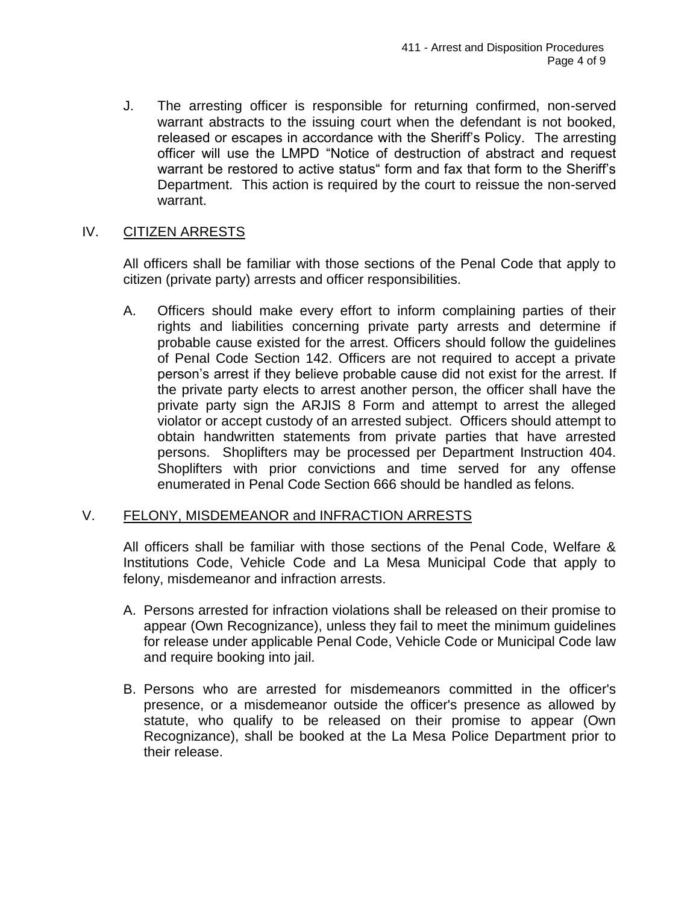J. The arresting officer is responsible for returning confirmed, non-served warrant abstracts to the issuing court when the defendant is not booked, released or escapes in accordance with the Sheriff's Policy. The arresting officer will use the LMPD "Notice of destruction of abstract and request warrant be restored to active status" form and fax that form to the Sheriff's Department. This action is required by the court to reissue the non-served warrant.

## IV. CITIZEN ARRESTS

All officers shall be familiar with those sections of the Penal Code that apply to citizen (private party) arrests and officer responsibilities.

A. Officers should make every effort to inform complaining parties of their rights and liabilities concerning private party arrests and determine if probable cause existed for the arrest. Officers should follow the guidelines of Penal Code Section 142. Officers are not required to accept a private person's arrest if they believe probable cause did not exist for the arrest. If the private party elects to arrest another person, the officer shall have the private party sign the ARJIS 8 Form and attempt to arrest the alleged violator or accept custody of an arrested subject. Officers should attempt to obtain handwritten statements from private parties that have arrested persons. Shoplifters may be processed per Department Instruction 404. Shoplifters with prior convictions and time served for any offense enumerated in Penal Code Section 666 should be handled as felons.

### V. FELONY, MISDEMEANOR and INFRACTION ARRESTS

All officers shall be familiar with those sections of the Penal Code, Welfare & Institutions Code, Vehicle Code and La Mesa Municipal Code that apply to felony, misdemeanor and infraction arrests.

- A. Persons arrested for infraction violations shall be released on their promise to appear (Own Recognizance), unless they fail to meet the minimum guidelines for release under applicable Penal Code, Vehicle Code or Municipal Code law and require booking into jail.
- B. Persons who are arrested for misdemeanors committed in the officer's presence, or a misdemeanor outside the officer's presence as allowed by statute, who qualify to be released on their promise to appear (Own Recognizance), shall be booked at the La Mesa Police Department prior to their release.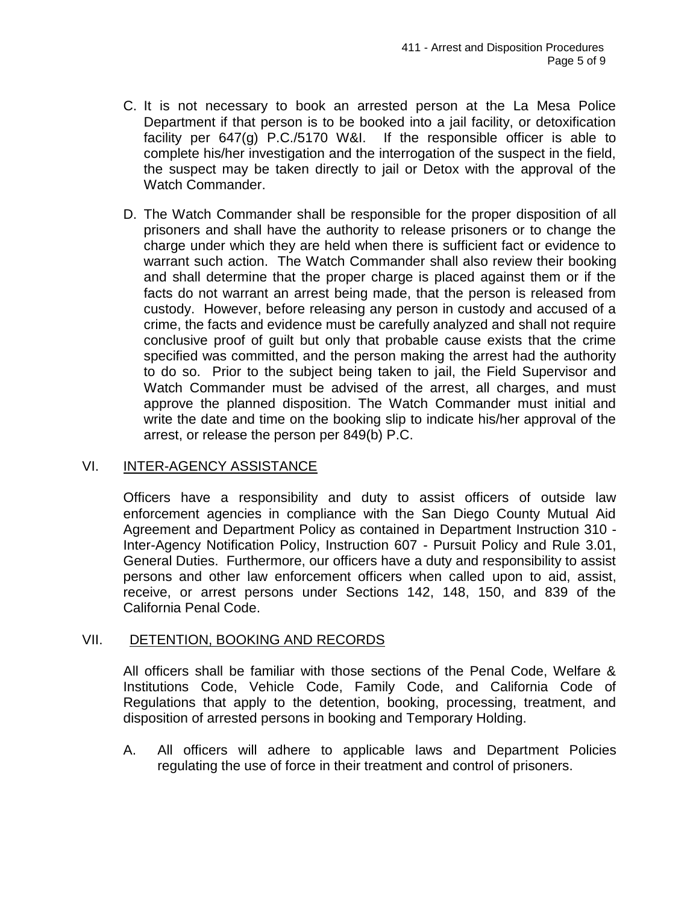- C. It is not necessary to book an arrested person at the La Mesa Police Department if that person is to be booked into a jail facility, or detoxification facility per 647(g) P.C./5170 W&I. If the responsible officer is able to complete his/her investigation and the interrogation of the suspect in the field, the suspect may be taken directly to jail or Detox with the approval of the Watch Commander.
- D. The Watch Commander shall be responsible for the proper disposition of all prisoners and shall have the authority to release prisoners or to change the charge under which they are held when there is sufficient fact or evidence to warrant such action. The Watch Commander shall also review their booking and shall determine that the proper charge is placed against them or if the facts do not warrant an arrest being made, that the person is released from custody. However, before releasing any person in custody and accused of a crime, the facts and evidence must be carefully analyzed and shall not require conclusive proof of guilt but only that probable cause exists that the crime specified was committed, and the person making the arrest had the authority to do so. Prior to the subject being taken to jail, the Field Supervisor and Watch Commander must be advised of the arrest, all charges, and must approve the planned disposition. The Watch Commander must initial and write the date and time on the booking slip to indicate his/her approval of the arrest, or release the person per 849(b) P.C.

# VI. INTER-AGENCY ASSISTANCE

Officers have a responsibility and duty to assist officers of outside law enforcement agencies in compliance with the San Diego County Mutual Aid Agreement and Department Policy as contained in Department Instruction 310 - Inter-Agency Notification Policy, Instruction 607 - Pursuit Policy and Rule 3.01, General Duties. Furthermore, our officers have a duty and responsibility to assist persons and other law enforcement officers when called upon to aid, assist, receive, or arrest persons under Sections 142, 148, 150, and 839 of the California Penal Code.

# VII. DETENTION, BOOKING AND RECORDS

All officers shall be familiar with those sections of the Penal Code, Welfare & Institutions Code, Vehicle Code, Family Code, and California Code of Regulations that apply to the detention, booking, processing, treatment, and disposition of arrested persons in booking and Temporary Holding.

A. All officers will adhere to applicable laws and Department Policies regulating the use of force in their treatment and control of prisoners.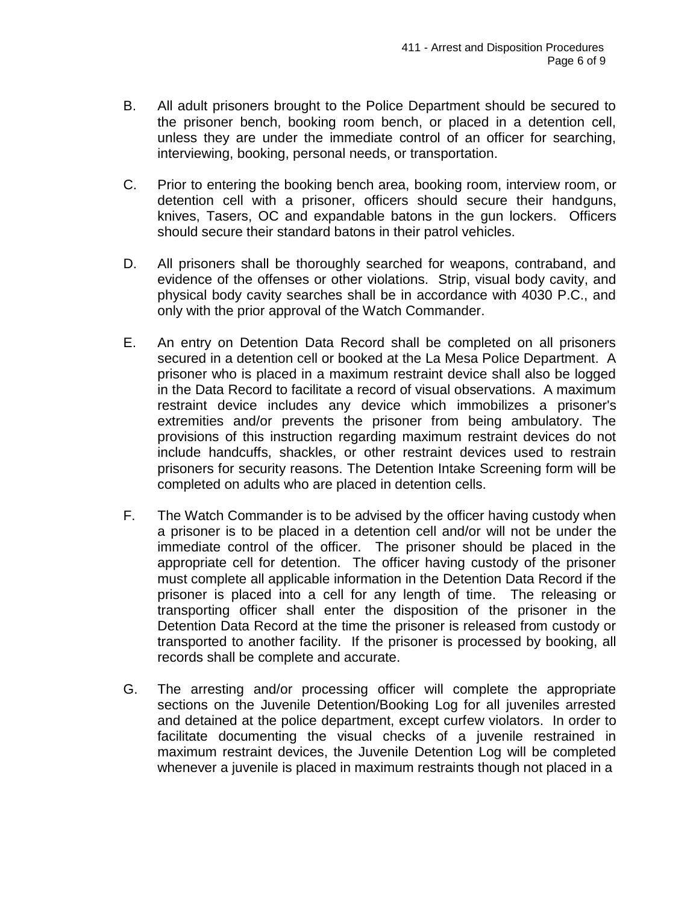- B. All adult prisoners brought to the Police Department should be secured to the prisoner bench, booking room bench, or placed in a detention cell, unless they are under the immediate control of an officer for searching, interviewing, booking, personal needs, or transportation.
- C. Prior to entering the booking bench area, booking room, interview room, or detention cell with a prisoner, officers should secure their handguns, knives, Tasers, OC and expandable batons in the gun lockers. Officers should secure their standard batons in their patrol vehicles.
- D. All prisoners shall be thoroughly searched for weapons, contraband, and evidence of the offenses or other violations. Strip, visual body cavity, and physical body cavity searches shall be in accordance with 4030 P.C., and only with the prior approval of the Watch Commander.
- E. An entry on Detention Data Record shall be completed on all prisoners secured in a detention cell or booked at the La Mesa Police Department. A prisoner who is placed in a maximum restraint device shall also be logged in the Data Record to facilitate a record of visual observations. A maximum restraint device includes any device which immobilizes a prisoner's extremities and/or prevents the prisoner from being ambulatory. The provisions of this instruction regarding maximum restraint devices do not include handcuffs, shackles, or other restraint devices used to restrain prisoners for security reasons. The Detention Intake Screening form will be completed on adults who are placed in detention cells.
- F. The Watch Commander is to be advised by the officer having custody when a prisoner is to be placed in a detention cell and/or will not be under the immediate control of the officer. The prisoner should be placed in the appropriate cell for detention. The officer having custody of the prisoner must complete all applicable information in the Detention Data Record if the prisoner is placed into a cell for any length of time. The releasing or transporting officer shall enter the disposition of the prisoner in the Detention Data Record at the time the prisoner is released from custody or transported to another facility. If the prisoner is processed by booking, all records shall be complete and accurate.
- G. The arresting and/or processing officer will complete the appropriate sections on the Juvenile Detention/Booking Log for all juveniles arrested and detained at the police department, except curfew violators. In order to facilitate documenting the visual checks of a juvenile restrained in maximum restraint devices, the Juvenile Detention Log will be completed whenever a juvenile is placed in maximum restraints though not placed in a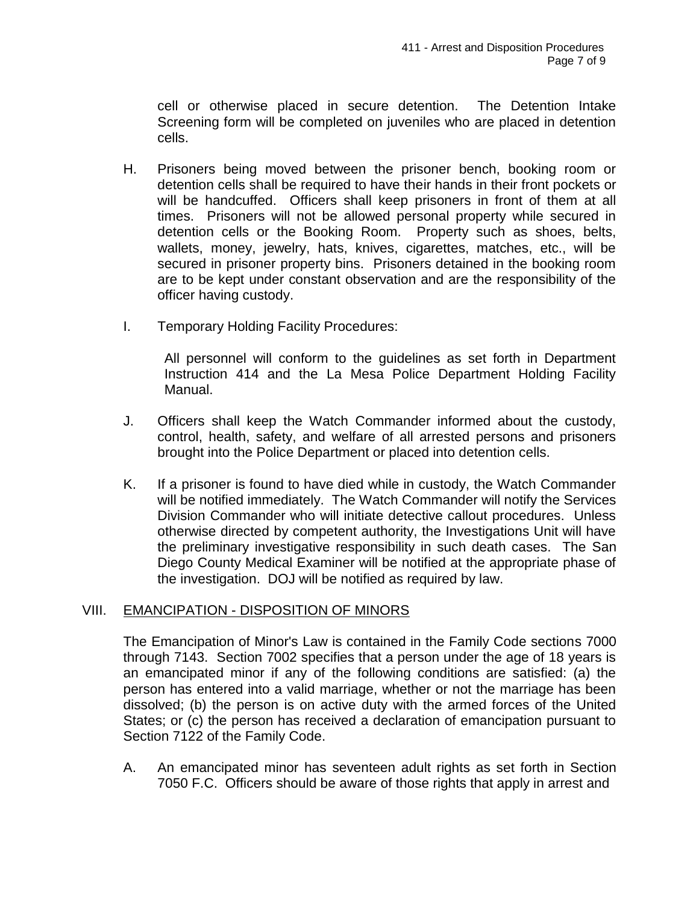cell or otherwise placed in secure detention. The Detention Intake Screening form will be completed on juveniles who are placed in detention cells.

- H. Prisoners being moved between the prisoner bench, booking room or detention cells shall be required to have their hands in their front pockets or will be handcuffed. Officers shall keep prisoners in front of them at all times. Prisoners will not be allowed personal property while secured in detention cells or the Booking Room. Property such as shoes, belts, wallets, money, jewelry, hats, knives, cigarettes, matches, etc., will be secured in prisoner property bins. Prisoners detained in the booking room are to be kept under constant observation and are the responsibility of the officer having custody.
- I. Temporary Holding Facility Procedures:

All personnel will conform to the guidelines as set forth in Department Instruction 414 and the La Mesa Police Department Holding Facility Manual.

- J. Officers shall keep the Watch Commander informed about the custody, control, health, safety, and welfare of all arrested persons and prisoners brought into the Police Department or placed into detention cells.
- K. If a prisoner is found to have died while in custody, the Watch Commander will be notified immediately. The Watch Commander will notify the Services Division Commander who will initiate detective callout procedures. Unless otherwise directed by competent authority, the Investigations Unit will have the preliminary investigative responsibility in such death cases. The San Diego County Medical Examiner will be notified at the appropriate phase of the investigation. DOJ will be notified as required by law.

### VIII. EMANCIPATION - DISPOSITION OF MINORS

The Emancipation of Minor's Law is contained in the Family Code sections 7000 through 7143. Section 7002 specifies that a person under the age of 18 years is an emancipated minor if any of the following conditions are satisfied: (a) the person has entered into a valid marriage, whether or not the marriage has been dissolved; (b) the person is on active duty with the armed forces of the United States; or (c) the person has received a declaration of emancipation pursuant to Section 7122 of the Family Code.

A. An emancipated minor has seventeen adult rights as set forth in Section 7050 F.C. Officers should be aware of those rights that apply in arrest and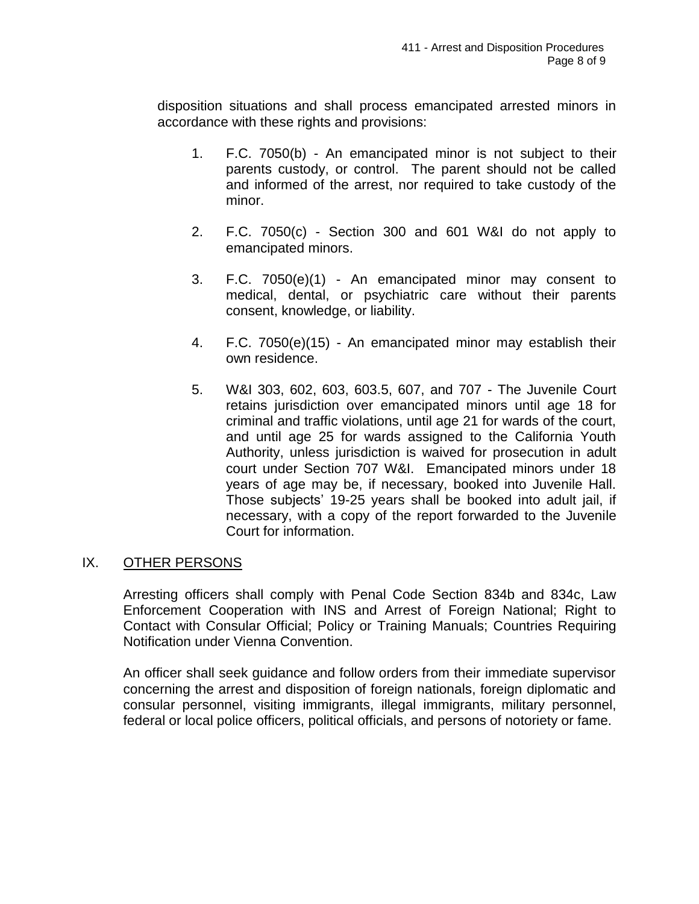disposition situations and shall process emancipated arrested minors in accordance with these rights and provisions:

- 1. F.C. 7050(b) An emancipated minor is not subject to their parents custody, or control. The parent should not be called and informed of the arrest, nor required to take custody of the minor.
- 2. F.C. 7050(c) Section 300 and 601 W&I do not apply to emancipated minors.
- 3. F.C. 7050(e)(1) An emancipated minor may consent to medical, dental, or psychiatric care without their parents consent, knowledge, or liability.
- 4. F.C. 7050(e)(15) An emancipated minor may establish their own residence.
- 5. W&I 303, 602, 603, 603.5, 607, and 707 The Juvenile Court retains jurisdiction over emancipated minors until age 18 for criminal and traffic violations, until age 21 for wards of the court, and until age 25 for wards assigned to the California Youth Authority, unless jurisdiction is waived for prosecution in adult court under Section 707 W&I. Emancipated minors under 18 years of age may be, if necessary, booked into Juvenile Hall. Those subjects' 19-25 years shall be booked into adult jail, if necessary, with a copy of the report forwarded to the Juvenile Court for information.

### IX. OTHER PERSONS

Arresting officers shall comply with Penal Code Section 834b and 834c, Law Enforcement Cooperation with INS and Arrest of Foreign National; Right to Contact with Consular Official; Policy or Training Manuals; Countries Requiring Notification under Vienna Convention.

An officer shall seek guidance and follow orders from their immediate supervisor concerning the arrest and disposition of foreign nationals, foreign diplomatic and consular personnel, visiting immigrants, illegal immigrants, military personnel, federal or local police officers, political officials, and persons of notoriety or fame.